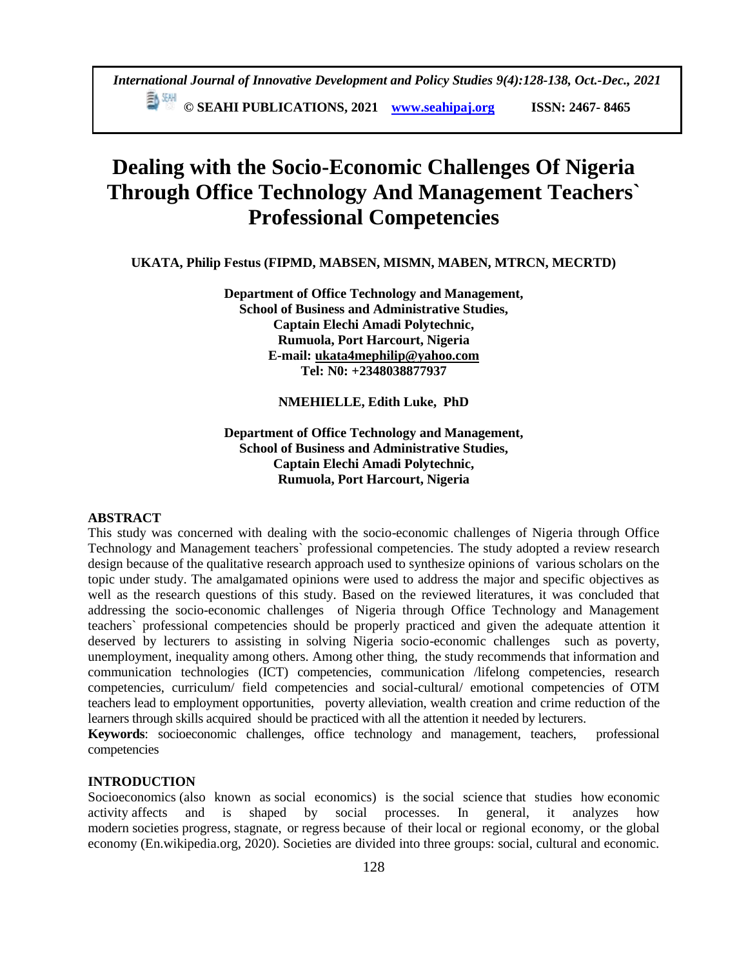**Dealing with the Socio-Economic Challenges Of Nigeria Through Office Technology And Management Teachers` Professional Competencies**

**UKATA, Philip Festus (FIPMD, MABSEN, MISMN, MABEN, MTRCN, MECRTD)**

**Department of Office Technology and Management, School of Business and Administrative Studies, Captain Elechi Amadi Polytechnic, Rumuola, Port Harcourt, Nigeria E-mail: [ukata4mephilip@yahoo.com](mailto:ukata4mephilip@yahoo.com) Tel: N0: +2348038877937**

#### **NMEHIELLE, Edith Luke, PhD**

**Department of Office Technology and Management, School of Business and Administrative Studies, Captain Elechi Amadi Polytechnic, Rumuola, Port Harcourt, Nigeria**

### **ABSTRACT**

This study was concerned with dealing with the socio-economic challenges of Nigeria through Office Technology and Management teachers` professional competencies. The study adopted a review research design because of the qualitative research approach used to synthesize opinions of various scholars on the topic under study. The amalgamated opinions were used to address the major and specific objectives as well as the research questions of this study. Based on the reviewed literatures, it was concluded that addressing the socio-economic challenges of Nigeria through Office Technology and Management teachers` professional competencies should be properly practiced and given the adequate attention it deserved by lecturers to assisting in solving Nigeria socio-economic challenges such as poverty, unemployment, inequality among others. Among other thing, the study recommends that information and communication technologies (ICT) competencies, communication /lifelong competencies, research competencies, curriculum/ field competencies and social-cultural/ emotional competencies of OTM teachers lead to employment opportunities, poverty alleviation, wealth creation and crime reduction of the learners through skills acquired should be practiced with all the attention it needed by lecturers.

**Keywords**: socioeconomic challenges, office technology and management, teachers, professional competencies

## **INTRODUCTION**

Socioeconomics (also known as social economics) is the [social science](https://en.wikipedia.org/wiki/Social_science) that studies how [economic](https://en.wikipedia.org/wiki/Economic_activity)  [activity](https://en.wikipedia.org/wiki/Economic_activity) affects and is shaped by social processes. In general, it analyzes how modern [societies](https://en.wikipedia.org/wiki/Society) [progress,](https://en.wikipedia.org/wiki/Social_progress) [stagnate,](https://en.wikipedia.org/wiki/Economic_stagnation) or [regress](https://en.wikipedia.org/wiki/Social_regress) because of their [local](https://en.wikipedia.org/wiki/Local_economy) or regional economy, or the [global](https://en.wikipedia.org/wiki/Global_economy)  [economy](https://en.wikipedia.org/wiki/Global_economy) (En.wikipedia.org, 2020). Societies are divided into three groups: social, cultural and economic.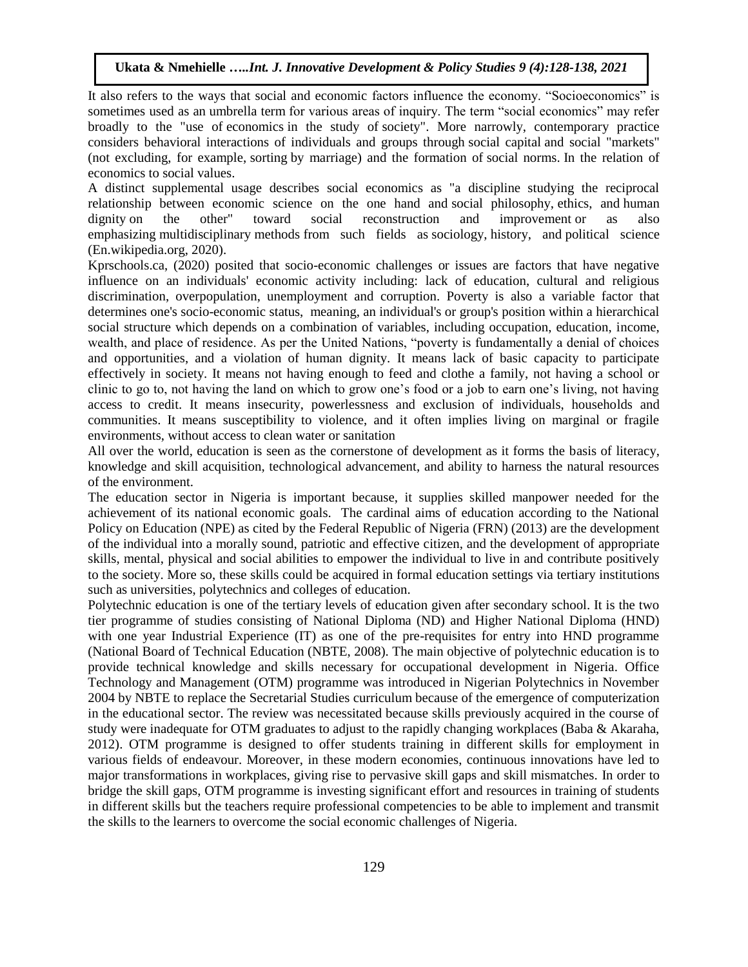It also refers to the ways that social and economic factors influence the economy. "Socioeconomics" is sometimes used as an [umbrella term](https://en.wikipedia.org/wiki/Umbrella_term) for various areas of inquiry. The term "social economics" may refer broadly to the "use of [economics](https://en.wikipedia.org/wiki/Economics) in the study of [society"](https://en.wikipedia.org/wiki/Social_relation). More narrowly, contemporary practice considers behavioral interactions of individuals and groups through [social capital](https://en.wikipedia.org/wiki/Social_capital) and social "markets" (not excluding, for example, [sorting](https://en.wikipedia.org/wiki/Assortative_mating) by marriage) and the formation of [social norms.](https://en.wikipedia.org/wiki/Social_norms) In the relation of economics to [social values.](https://en.wikipedia.org/wiki/Value_(ethics))

A distinct supplemental usage describes social economics as "a discipline studying the reciprocal relationship between economic science on the one hand and [social philosophy,](https://en.wikipedia.org/wiki/Social_philosophy) [ethics,](https://en.wikipedia.org/wiki/Ethics) and [human](https://en.wikipedia.org/wiki/Human_dignity)  [dignity](https://en.wikipedia.org/wiki/Human_dignity) on the other" toward social reconstruction and improvement or as also emphasizing [multidisciplinary](https://en.wikipedia.org/wiki/Multidisciplinary) [methods](https://en.wikipedia.org/wiki/Scientific_method) from such fields as [sociology,](https://en.wikipedia.org/wiki/Sociology) [history,](https://en.wikipedia.org/wiki/History) and [political science](https://en.wikipedia.org/wiki/Political_science) (En.wikipedia.org, 2020).

Kprschools.ca, (2020) posited that socio-economic challenges or issues are factors that have negative influence on an individuals' economic activity including: lack of education, cultural and religious discrimination, overpopulation, unemployment and corruption. Poverty is also a variable factor that determines one's socio-economic status, meaning, an individual's or group's position within a hierarchical social structure which depends on a combination of variables, including occupation, education, income, wealth, and place of residence. As per the United Nations, "poverty is fundamentally a denial of choices and opportunities, and a violation of human dignity. It means lack of basic capacity to participate effectively in society. It means not having enough to feed and clothe a family, not having a school or clinic to go to, not having the land on which to grow one's food or a job to earn one's living, not having access to credit. It means insecurity, powerlessness and exclusion of individuals, households and communities. It means susceptibility to violence, and it often implies living on marginal or fragile environments, without access to clean water or sanitation

All over the world, education is seen as the cornerstone of development as it forms the basis of literacy, knowledge and skill acquisition, technological advancement, and ability to harness the natural resources of the environment.

The education sector in Nigeria is important because, it supplies skilled manpower needed for the achievement of its national economic goals. The cardinal aims of education according to the National Policy on Education (NPE) as cited by the Federal Republic of Nigeria (FRN) (2013) are the development of the individual into a morally sound, patriotic and effective citizen, and the development of appropriate skills, mental, physical and social abilities to empower the individual to live in and contribute positively to the society. More so, these skills could be acquired in formal education settings via tertiary institutions such as universities, polytechnics and colleges of education.

Polytechnic education is one of the tertiary levels of education given after secondary school. It is the two tier programme of studies consisting of National Diploma (ND) and Higher National Diploma (HND) with one year Industrial Experience (IT) as one of the pre-requisites for entry into HND programme (National Board of Technical Education (NBTE, 2008). The main objective of polytechnic education is to provide technical knowledge and skills necessary for occupational development in Nigeria. Office Technology and Management (OTM) programme was introduced in Nigerian Polytechnics in November 2004 by NBTE to replace the Secretarial Studies curriculum because of the emergence of computerization in the educational sector. The review was necessitated because skills previously acquired in the course of study were inadequate for OTM graduates to adjust to the rapidly changing workplaces (Baba & Akaraha, 2012). OTM programme is designed to offer students training in different skills for employment in various fields of endeavour. Moreover, in these modern economies, continuous innovations have led to major transformations in workplaces, giving rise to pervasive skill gaps and skill mismatches. In order to bridge the skill gaps, OTM programme is investing significant effort and resources in training of students in different skills but the teachers require professional competencies to be able to implement and transmit the skills to the learners to overcome the social economic challenges of Nigeria.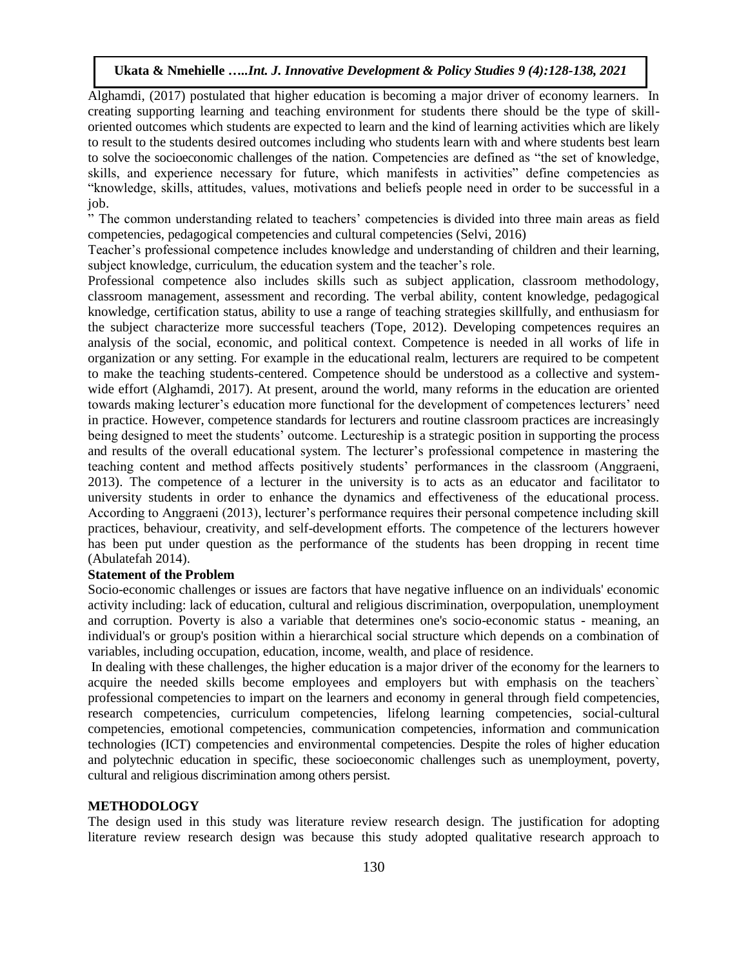Alghamdi, (2017) postulated that higher education is becoming a major driver of economy learners. In creating supporting learning and teaching environment for students there should be the type of skilloriented outcomes which students are expected to learn and the kind of learning activities which are likely to result to the students desired outcomes including who students learn with and where students best learn to solve the socioeconomic challenges of the nation. Competencies are defined as "the set of knowledge, skills, and experience necessary for future, which manifests in activities" define competencies as "knowledge, skills, attitudes, values, motivations and beliefs people need in order to be successful in a job.

" The common understanding related to teachers' competencies is divided into three main areas as field competencies, pedagogical competencies and cultural competencies (Selvi, 2016)

Teacher's professional competence includes knowledge and understanding of children and their learning, subject knowledge, curriculum, the education system and the teacher's role.

Professional competence also includes skills such as subject application, classroom methodology, classroom management, assessment and recording. The verbal ability, content knowledge, pedagogical knowledge, certification status, ability to use a range of teaching strategies skillfully, and enthusiasm for the subject characterize more successful teachers (Tope, 2012). Developing competences requires an analysis of the social, economic, and political context. Competence is needed in all works of life in organization or any setting. For example in the educational realm, lecturers are required to be competent to make the teaching students-centered. Competence should be understood as a collective and systemwide effort (Alghamdi, 2017). At present, around the world, many reforms in the education are oriented towards making lecturer's education more functional for the development of competences lecturers' need in practice. However, competence standards for lecturers and routine classroom practices are increasingly being designed to meet the students' outcome. Lectureship is a strategic position in supporting the process and results of the overall educational system. The lecturer's professional competence in mastering the teaching content and method affects positively students' performances in the classroom (Anggraeni, 2013). The competence of a lecturer in the university is to acts as an educator and facilitator to university students in order to enhance the dynamics and effectiveness of the educational process. According to Anggraeni (2013), lecturer's performance requires their personal competence including skill practices, behaviour, creativity, and self-development efforts. The competence of the lecturers however has been put under question as the performance of the students has been dropping in recent time (Abulatefah 2014).

#### **Statement of the Problem**

Socio-economic challenges or issues are factors that have negative influence on an individuals' economic activity including: lack of education, cultural and religious discrimination, overpopulation, unemployment and corruption. Poverty is also a variable that determines one's socio-economic status - meaning, an individual's or group's position within a hierarchical social structure which depends on a combination of variables, including occupation, education, income, wealth, and place of residence.

In dealing with these challenges, the higher education is a major driver of the economy for the learners to acquire the needed skills become employees and employers but with emphasis on the teachers` professional competencies to impart on the learners and economy in general through field competencies, research competencies, curriculum competencies, lifelong learning competencies, social-cultural competencies, emotional competencies, communication competencies, information and communication technologies (ICT) competencies and environmental competencies. Despite the roles of higher education and polytechnic education in specific, these socioeconomic challenges such as unemployment, poverty, cultural and religious discrimination among others persist.

## **METHODOLOGY**

The design used in this study was literature review research design. The justification for adopting literature review research design was because this study adopted qualitative research approach to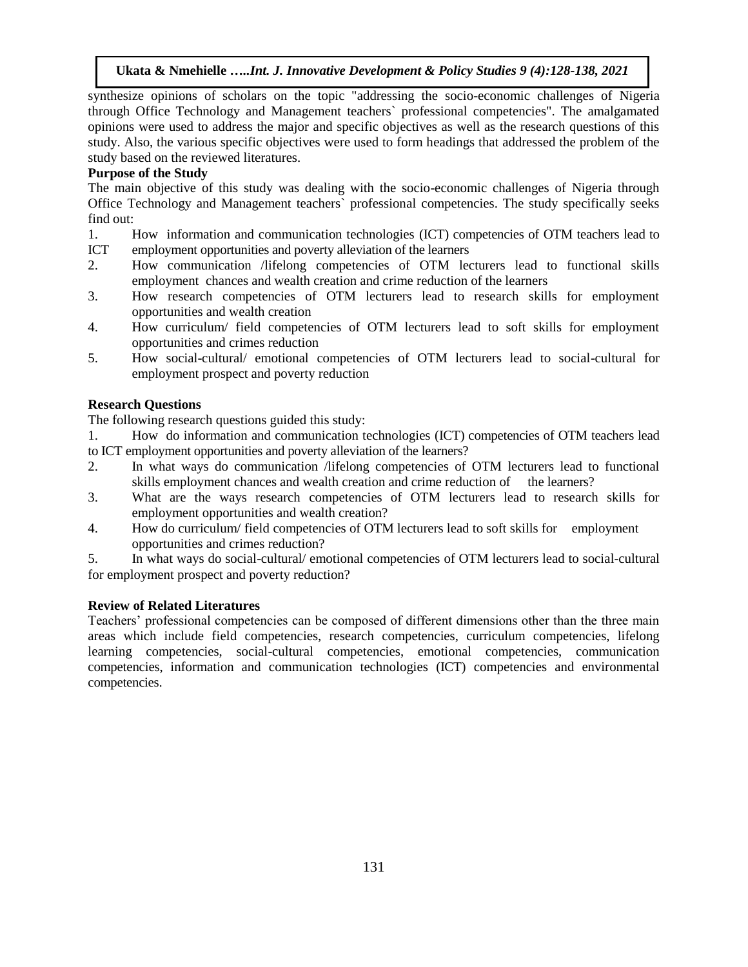synthesize opinions of scholars on the topic "addressing the socio-economic challenges of Nigeria through Office Technology and Management teachers` professional competencies". The amalgamated opinions were used to address the major and specific objectives as well as the research questions of this study. Also, the various specific objectives were used to form headings that addressed the problem of the study based on the reviewed literatures.

# **Purpose of the Study**

The main objective of this study was dealing with the socio-economic challenges of Nigeria through Office Technology and Management teachers` professional competencies. The study specifically seeks find out:

- 1. How information and communication technologies (ICT) competencies of OTM teachers lead to
- ICT employment opportunities and poverty alleviation of the learners
- 2. How communication /lifelong competencies of OTM lecturers lead to functional skills employment chances and wealth creation and crime reduction of the learners
- 3. How research competencies of OTM lecturers lead to research skills for employment opportunities and wealth creation
- 4. How curriculum/ field competencies of OTM lecturers lead to soft skills for employment opportunities and crimes reduction
- 5. How social-cultural/ emotional competencies of OTM lecturers lead to social-cultural for employment prospect and poverty reduction

# **Research Questions**

The following research questions guided this study:

1. How do information and communication technologies (ICT) competencies of OTM teachers lead to ICT employment opportunities and poverty alleviation of the learners?

- 2. In what ways do communication /lifelong competencies of OTM lecturers lead to functional skills employment chances and wealth creation and crime reduction of the learners?
- 3. What are the ways research competencies of OTM lecturers lead to research skills for employment opportunities and wealth creation?
- 4. How do curriculum/ field competencies of OTM lecturers lead to soft skills for employment opportunities and crimes reduction?

5. In what ways do social-cultural/ emotional competencies of OTM lecturers lead to social-cultural for employment prospect and poverty reduction?

# **Review of Related Literatures**

Teachers' professional competencies can be composed of different dimensions other than the three main areas which include field competencies, research competencies, curriculum competencies, lifelong learning competencies, social-cultural competencies, emotional competencies, communication competencies, information and communication technologies (ICT) competencies and environmental competencies.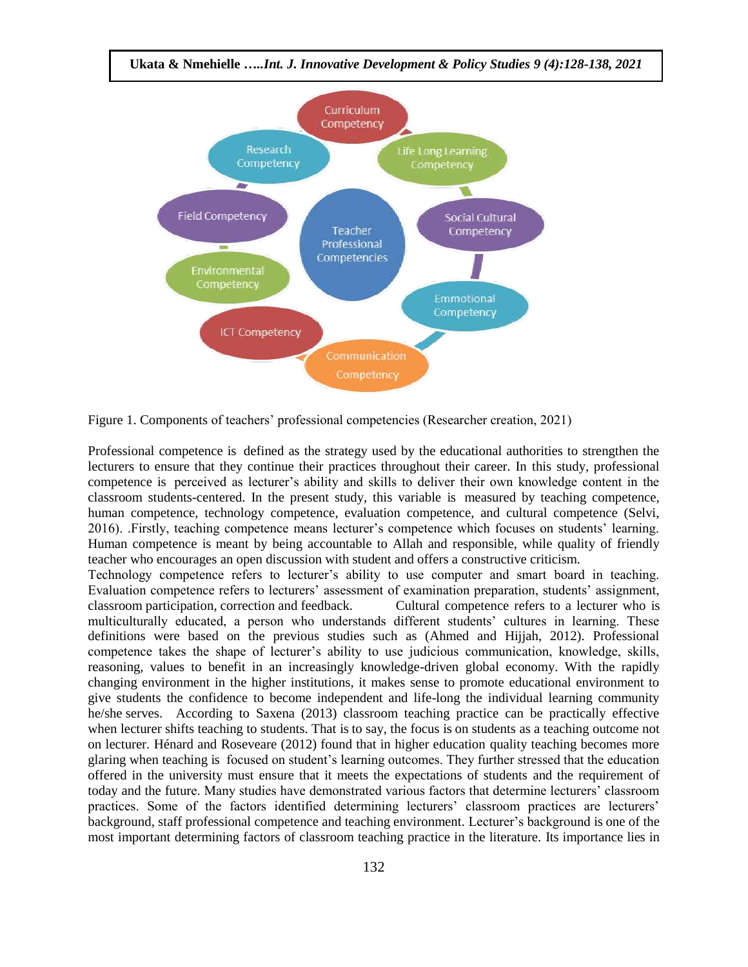

Figure 1. Components of teachers' professional competencies (Researcher creation, 2021)

Professional competence is defined as the strategy used by the educational authorities to strengthen the lecturers to ensure that they continue their practices throughout their career. In this study, professional competence is perceived as lecturer's ability and skills to deliver their own knowledge content in the classroom students-centered. In the present study, this variable is measured by teaching competence, human competence, technology competence, evaluation competence, and cultural competence (Selvi, 2016). .Firstly, teaching competence means lecturer's competence which focuses on students' learning. Human competence is meant by being accountable to Allah and responsible, while quality of friendly teacher who encourages an open discussion with student and offers a constructive criticism.

Technology competence refers to lecturer's ability to use computer and smart board in teaching. Evaluation competence refers to lecturers' assessment of examination preparation, students' assignment, classroom participation, correction and feedback. Cultural competence refers to a lecturer who is multiculturally educated, a person who understands different students' cultures in learning. These definitions were based on the previous studies such as (Ahmed and Hijjah, 2012). Professional competence takes the shape of lecturer's ability to use judicious communication, knowledge, skills, reasoning, values to benefit in an increasingly knowledge-driven global economy. With the rapidly changing environment in the higher institutions, it makes sense to promote educational environment to give students the confidence to become independent and life-long the individual learning community he/she serves. According to Saxena (2013) classroom teaching practice can be practically effective when lecturer shifts teaching to students. That is to say, the focus is on students as a teaching outcome not on lecturer. Hénard and Roseveare (2012) found that in higher education quality teaching becomes more glaring when teaching is focused on student's learning outcomes. They further stressed that the education offered in the university must ensure that it meets the expectations of students and the requirement of today and the future. Many studies have demonstrated various factors that determine lecturers' classroom practices. Some of the factors identified determining lecturers' classroom practices are lecturers' background, staff professional competence and teaching environment. Lecturer's background is one of the most important determining factors of classroom teaching practice in the literature. Its importance lies in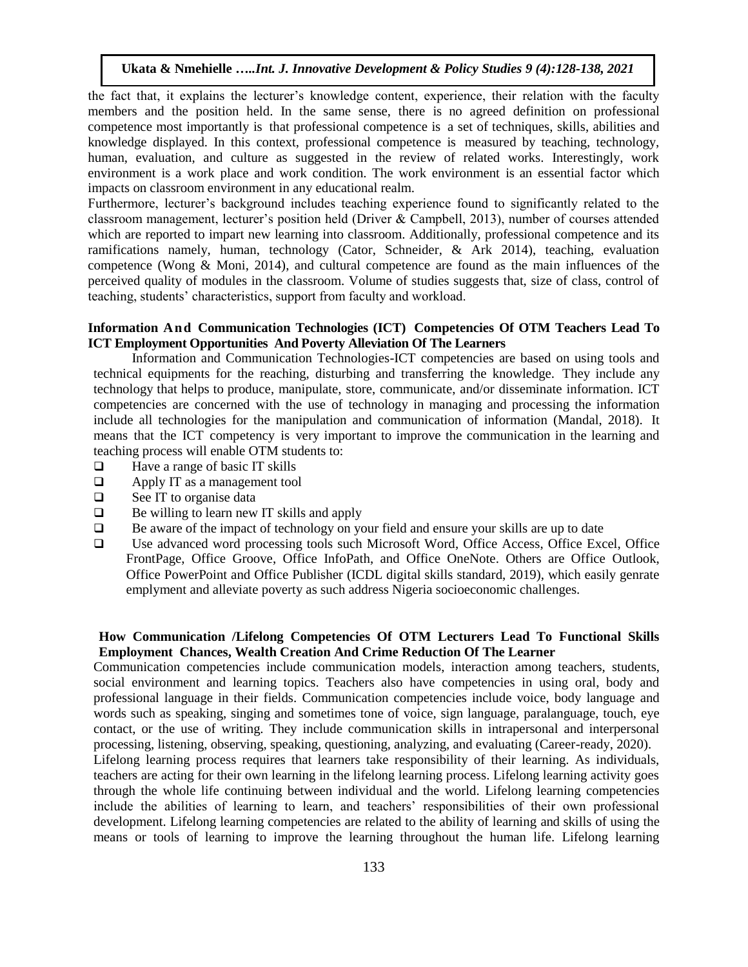the fact that, it explains the lecturer's knowledge content, experience, their relation with the faculty members and the position held. In the same sense, there is no agreed definition on professional competence most importantly is that professional competence is a set of techniques, skills, abilities and knowledge displayed. In this context, professional competence is measured by teaching, technology, human, evaluation, and culture as suggested in the review of related works. Interestingly, work environment is a work place and work condition. The work environment is an essential factor which impacts on classroom environment in any educational realm.

Furthermore, lecturer's background includes teaching experience found to significantly related to the classroom management, lecturer's position held (Driver & Campbell, 2013), number of courses attended which are reported to impart new learning into classroom. Additionally, professional competence and its ramifications namely, human, technology (Cator, Schneider, & Ark 2014), teaching, evaluation competence (Wong & Moni, 2014), and cultural competence are found as the main influences of the perceived quality of modules in the classroom. Volume of studies suggests that, size of class, control of teaching, students' characteristics, support from faculty and workload.

## **Information And Communication Technologies (ICT) Competencies Of OTM Teachers Lead To ICT Employment Opportunities And Poverty Alleviation Of The Learners**

Information and Communication Technologies-ICT competencies are based on using tools and technical equipments for the reaching, disturbing and transferring the knowledge. They include any technology that helps to produce, manipulate, store, communicate, and/or disseminate information. ICT competencies are concerned with the use of technology in managing and processing the information include all technologies for the manipulation and communication of information (Mandal, 2018). It means that the ICT competency is very important to improve the communication in the learning and teaching process will enable OTM students to:

- $\Box$  Have a range of basic IT skills
- $\Box$  Apply IT as a management tool
- $\Box$  See IT to organise data
- $\Box$  Be willing to learn new IT skills and apply
- $\Box$  Be aware of the impact of technology on your field and ensure your skills are up to date
- Use advanced word processing tools such Microsoft Word, Office Access, Office Excel, Office FrontPage, Office Groove, Office InfoPath, and Office OneNote. Others are Office Outlook, Office PowerPoint and Office Publisher (ICDL digital skills standard, 2019), which easily genrate emplyment and alleviate poverty as such address Nigeria socioeconomic challenges.

## **How Communication /Lifelong Competencies Of OTM Lecturers Lead To Functional Skills Employment Chances, Wealth Creation And Crime Reduction Of The Learner**

Communication competencies include communication models, interaction among teachers, students, social environment and learning topics. Teachers also have competencies in using oral, body and professional language in their fields. Communication competencies include voice, body language and words such as speaking, singing and sometimes tone of voice, sign language, paralanguage, touch, eye contact, or the use of writing. They include communication skills in intrapersonal and interpersonal processing, listening, observing, speaking, questioning, analyzing, and evaluating (Career-ready, 2020).

Lifelong learning process requires that learners take responsibility of their learning. As individuals, teachers are acting for their own learning in the lifelong learning process. Lifelong learning activity goes through the whole life continuing between individual and the world. Lifelong learning competencies include the abilities of learning to learn, and teachers' responsibilities of their own professional development. Lifelong learning competencies are related to the ability of learning and skills of using the means or tools of learning to improve the learning throughout the human life. Lifelong learning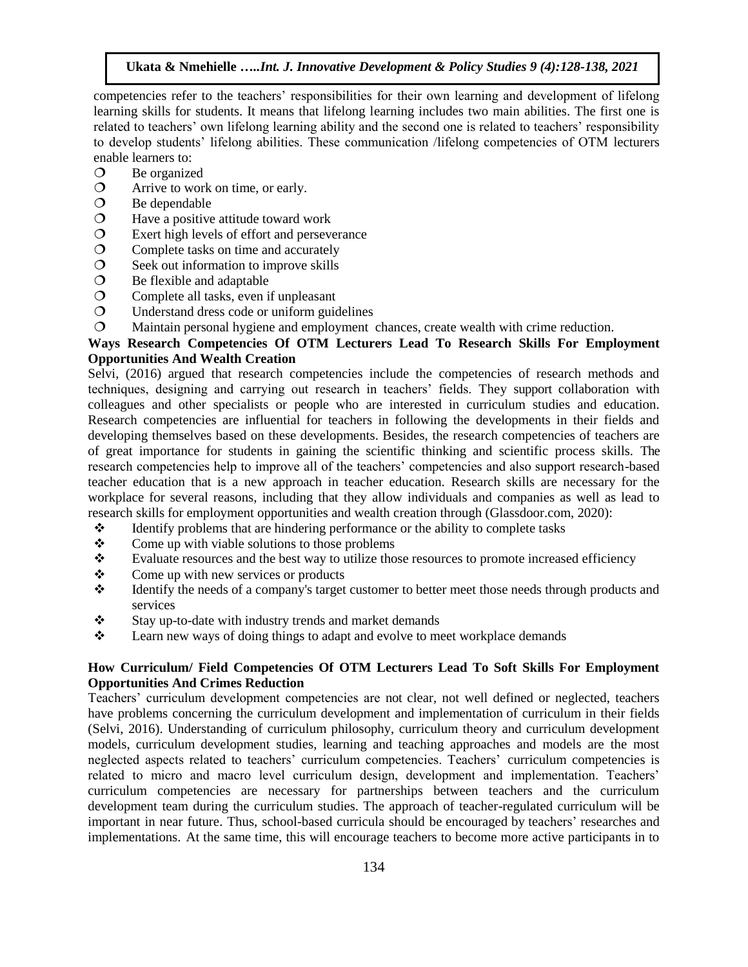competencies refer to the teachers' responsibilities for their own learning and development of lifelong learning skills for students. It means that lifelong learning includes two main abilities. The first one is related to teachers' own lifelong learning ability and the second one is related to teachers' responsibility to develop students' lifelong abilities. These communication /lifelong competencies of OTM lecturers enable learners to:

- O Be organized
- Arrive to work on time, or early.
- $\bigcirc$  Be dependable
- $\Omega$  Have a positive attitude toward work
- $\degree$  Exert high levels of effort and perseverance<br>  $\degree$  Complete tasks on time and accurately
- Complete tasks on time and accurately
- $\circ$  Seek out information to improve skills
- $\bigcirc$  Be flexible and adaptable
- Complete all tasks, even if unpleasant
- Understand dress code or uniform guidelines
- Maintain personal hygiene and employment chances, create wealth with crime reduction.

## **Ways Research Competencies Of OTM Lecturers Lead To Research Skills For Employment Opportunities And Wealth Creation**

Selvi, (2016) argued that research competencies include the competencies of research methods and techniques, designing and carrying out research in teachers' fields. They support collaboration with colleagues and other specialists or people who are interested in curriculum studies and education. Research competencies are influential for teachers in following the developments in their fields and developing themselves based on these developments. Besides, the research competencies of teachers are of great importance for students in gaining the scientific thinking and scientific process skills. The research competencies help to improve all of the teachers' competencies and also support research-based teacher education that is a new approach in teacher education. Research skills are necessary for the workplace for several reasons, including that they allow individuals and companies as well as lead to research skills for employment opportunities and wealth creation through (Glassdoor.com, 2020):

- $\mathbf{\hat{z}}$  Identify problems that are hindering performance or the ability to complete tasks
- $\div$  Come up with viable solutions to those problems
- $\bullet$  Evaluate resources and the best way to utilize those resources to promote increased efficiency
- Come up with new services or products
- Identify the needs of a company's target customer to better meet those needs through products and services
- $\mathbf{\hat{\cdot}}$  Stay up-to-date with industry trends and market demands
- $\div$  Learn new ways of doing things to adapt and evolve to meet workplace demands

## **How Curriculum/ Field Competencies Of OTM Lecturers Lead To Soft Skills For Employment Opportunities And Crimes Reduction**

Teachers' curriculum development competencies are not clear, not well defined or neglected, teachers have problems concerning the curriculum development and implementation of curriculum in their fields (Selvi, 2016). Understanding of curriculum philosophy, curriculum theory and curriculum development models, curriculum development studies, learning and teaching approaches and models are the most neglected aspects related to teachers' curriculum competencies. Teachers' curriculum competencies is related to micro and macro level curriculum design, development and implementation. Teachers' curriculum competencies are necessary for partnerships between teachers and the curriculum development team during the curriculum studies. The approach of teacher-regulated curriculum will be important in near future. Thus, school-based curricula should be encouraged by teachers' researches and implementations. At the same time, this will encourage teachers to become more active participants in to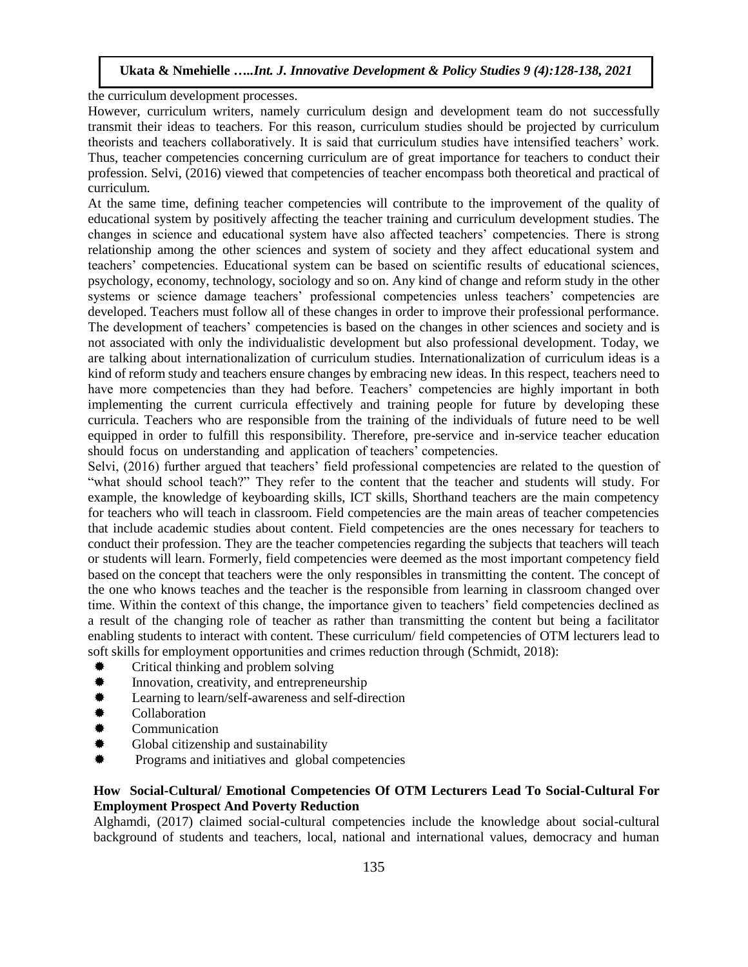the curriculum development processes.

However, curriculum writers, namely curriculum design and development team do not successfully transmit their ideas to teachers. For this reason, curriculum studies should be projected by curriculum theorists and teachers collaboratively. It is said that curriculum studies have intensified teachers' work. Thus, teacher competencies concerning curriculum are of great importance for teachers to conduct their profession. Selvi, (2016) viewed that competencies of teacher encompass both theoretical and practical of curriculum.

At the same time, defining teacher competencies will contribute to the improvement of the quality of educational system by positively affecting the teacher training and curriculum development studies. The changes in science and educational system have also affected teachers' competencies. There is strong relationship among the other sciences and system of society and they affect educational system and teachers' competencies. Educational system can be based on scientific results of educational sciences, psychology, economy, technology, sociology and so on. Any kind of change and reform study in the other systems or science damage teachers' professional competencies unless teachers' competencies are developed. Teachers must follow all of these changes in order to improve their professional performance. The development of teachers' competencies is based on the changes in other sciences and society and is not associated with only the individualistic development but also professional development. Today, we are talking about internationalization of curriculum studies. Internationalization of curriculum ideas is a kind of reform study and teachers ensure changes by embracing new ideas. In this respect, teachers need to have more competencies than they had before. Teachers' competencies are highly important in both implementing the current curricula effectively and training people for future by developing these curricula. Teachers who are responsible from the training of the individuals of future need to be well equipped in order to fulfill this responsibility. Therefore, pre-service and in-service teacher education should focus on understanding and application of teachers' competencies.

Selvi, (2016) further argued that teachers' field professional competencies are related to the question of "what should school teach?" They refer to the content that the teacher and students will study. For example, the knowledge of keyboarding skills, ICT skills, Shorthand teachers are the main competency for teachers who will teach in classroom. Field competencies are the main areas of teacher competencies that include academic studies about content. Field competencies are the ones necessary for teachers to conduct their profession. They are the teacher competencies regarding the subjects that teachers will teach or students will learn. Formerly, field competencies were deemed as the most important competency field based on the concept that teachers were the only responsibles in transmitting the content. The concept of the one who knows teaches and the teacher is the responsible from learning in classroom changed over time. Within the context of this change, the importance given to teachers' field competencies declined as a result of the changing role of teacher as rather than transmitting the content but being a facilitator enabling students to interact with content. These curriculum/ field competencies of OTM lecturers lead to soft skills for employment opportunities and crimes reduction through (Schmidt, 2018):

- Critical thinking and problem solving
- Innovation, creativity, and entrepreneurship
- Learning to learn/self-awareness and self-direction
- Collaboration
- **Communication**
- Global citizenship and sustainability
- Programs and initiatives and global competencies

## **How Social-Cultural/ Emotional Competencies Of OTM Lecturers Lead To Social-Cultural For Employment Prospect And Poverty Reduction**

Alghamdi, (2017) claimed social-cultural competencies include the knowledge about social-cultural background of students and teachers, local, national and international values, democracy and human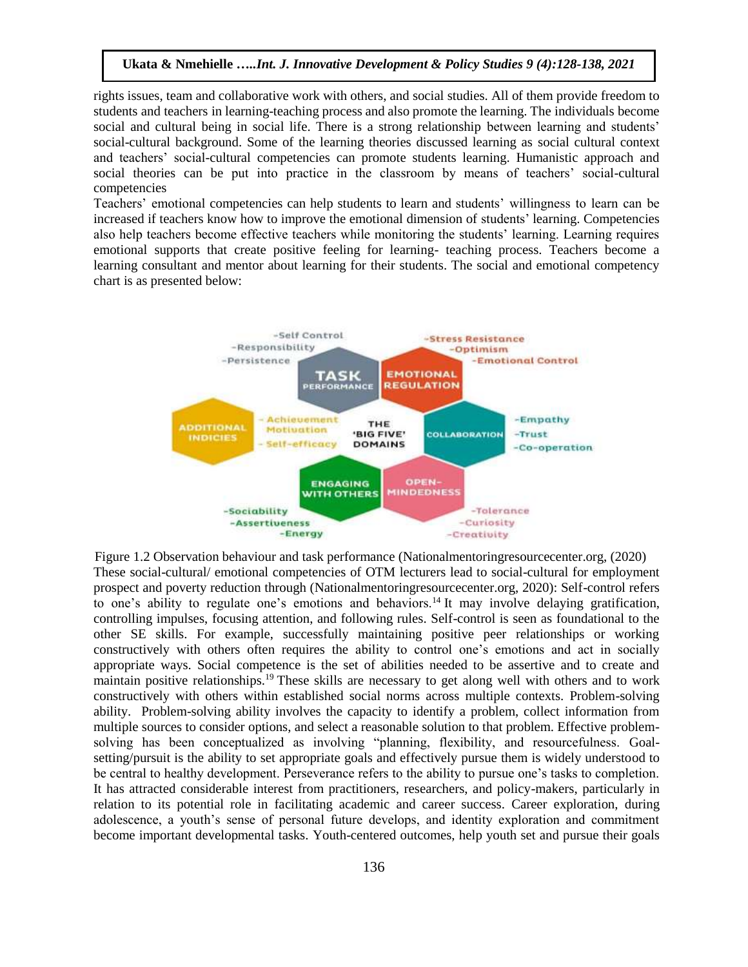rights issues, team and collaborative work with others, and social studies. All of them provide freedom to students and teachers in learning-teaching process and also promote the learning. The individuals become social and cultural being in social life. There is a strong relationship between learning and students' social-cultural background. Some of the learning theories discussed learning as social cultural context and teachers' social-cultural competencies can promote students learning. Humanistic approach and social theories can be put into practice in the classroom by means of teachers' social-cultural competencies

Teachers' emotional competencies can help students to learn and students' willingness to learn can be increased if teachers know how to improve the emotional dimension of students' learning. Competencies also help teachers become effective teachers while monitoring the students' learning. Learning requires emotional supports that create positive feeling for learning- teaching process. Teachers become a learning consultant and mentor about learning for their students. The social and emotional competency chart is as presented below:



 Figure 1.2 Observation behaviour and task performance (Nationalmentoringresourcecenter.org, (2020) These social-cultural/ emotional competencies of OTM lecturers lead to social-cultural for employment prospect and poverty reduction through (Nationalmentoringresourcecenter.org, 2020): Self-control refers to one's ability to regulate one's emotions and behaviors.<sup>14</sup> It may involve delaying gratification, controlling impulses, focusing attention, and following rules. Self-control is seen as foundational to the other SE skills. For example, successfully maintaining positive peer relationships or working constructively with others often requires the ability to control one's emotions and act in socially appropriate ways. Social competence is the set of abilities needed to be assertive and to create and maintain positive relationships.<sup>19</sup> These skills are necessary to get along well with others and to work constructively with others within established social norms across multiple contexts. Problem-solving ability. Problem-solving ability involves the capacity to identify a problem, collect information from multiple sources to consider options, and select a reasonable solution to that problem. Effective problemsolving has been conceptualized as involving "planning, flexibility, and resourcefulness. Goalsetting/pursuit is the ability to set appropriate goals and effectively pursue them is widely understood to be central to healthy development. Perseverance refers to the ability to pursue one's tasks to completion. It has attracted considerable interest from practitioners, researchers, and policy-makers, particularly in relation to its potential role in facilitating academic and career success. Career exploration, during adolescence, a youth's sense of personal future develops, and identity exploration and commitment become important developmental tasks. Youth-centered outcomes, help youth set and pursue their goals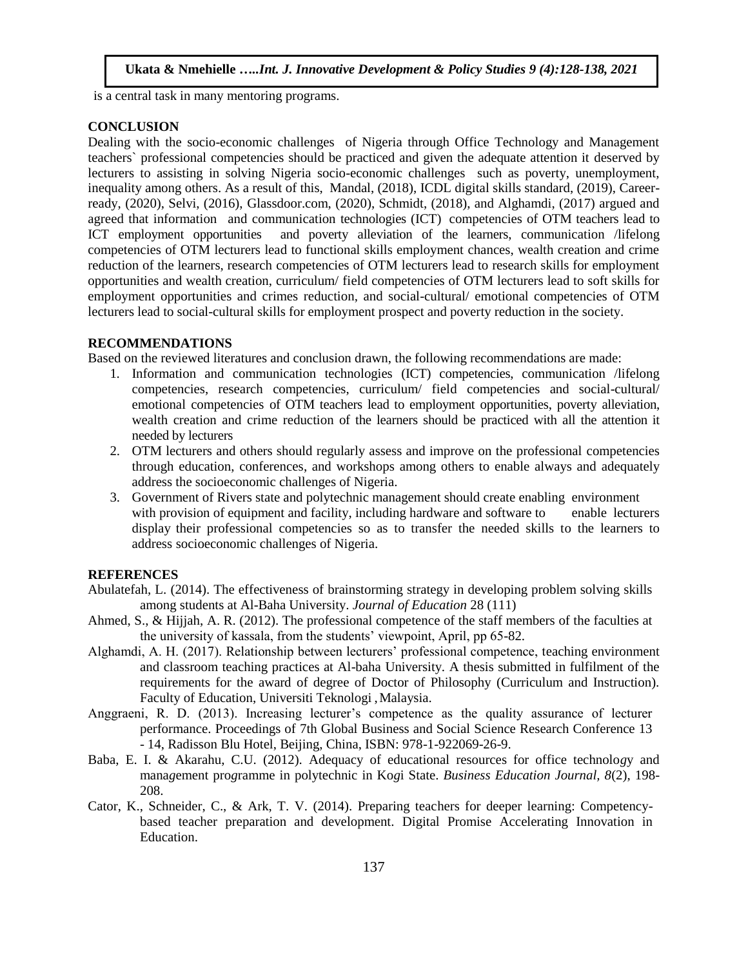is a central task in many mentoring programs.

## **CONCLUSION**

Dealing with the socio-economic challenges of Nigeria through Office Technology and Management teachers` professional competencies should be practiced and given the adequate attention it deserved by lecturers to assisting in solving Nigeria socio-economic challenges such as poverty, unemployment, inequality among others. As a result of this, Mandal, (2018), ICDL digital skills standard, (2019), Careerready, (2020), Selvi, (2016), Glassdoor.com, (2020), Schmidt, (2018), and Alghamdi, (2017) argued and agreed that information and communication technologies (ICT) competencies of OTM teachers lead to ICT employment opportunities and poverty alleviation of the learners, communication /lifelong competencies of OTM lecturers lead to functional skills employment chances, wealth creation and crime reduction of the learners, research competencies of OTM lecturers lead to research skills for employment opportunities and wealth creation, curriculum/ field competencies of OTM lecturers lead to soft skills for employment opportunities and crimes reduction, and social-cultural/ emotional competencies of OTM lecturers lead to social-cultural skills for employment prospect and poverty reduction in the society.

### **RECOMMENDATIONS**

Based on the reviewed literatures and conclusion drawn, the following recommendations are made:

- 1. Information and communication technologies (ICT) competencies, communication /lifelong competencies, research competencies, curriculum/ field competencies and social-cultural/ emotional competencies of OTM teachers lead to employment opportunities, poverty alleviation, wealth creation and crime reduction of the learners should be practiced with all the attention it needed by lecturers
- 2. OTM lecturers and others should regularly assess and improve on the professional competencies through education, conferences, and workshops among others to enable always and adequately address the socioeconomic challenges of Nigeria.
- 3. Government of Rivers state and polytechnic management should create enabling environment with provision of equipment and facility, including hardware and software to enable lecturers display their professional competencies so as to transfer the needed skills to the learners to address socioeconomic challenges of Nigeria.

#### **REFERENCES**

- Abulatefah, L. (2014). The effectiveness of brainstorming strategy in developing problem solving skills among students at Al-Baha University. *Journal of Education* 28 (111)
- Ahmed, S., & Hijjah, A. R. (2012). The professional competence of the staff members of the faculties at the university of kassala, from the students' viewpoint, April, pp 65-82.
- Alghamdi, A. H. (2017). Relationship between lecturers' professional competence, teaching environment and classroom teaching practices at Al-baha University. A thesis submitted in fulfilment of the requirements for the award of degree of Doctor of Philosophy (Curriculum and Instruction). Faculty of Education, Universiti Teknologi , Malaysia.
- Anggraeni, R. D. (2013). Increasing lecturer's competence as the quality assurance of lecturer performance. Proceedings of 7th Global Business and Social Science Research Conference 13 - 14, Radisson Blu Hotel, Beijing, China, ISBN: 978-1-922069-26-9.
- Baba, E. I. & Akarahu, C.U. (2012). Adequacy of educational resources for office technolo*g*y and mana*g*ement pro*g*ramme in polytechnic in Ko*g*i State. *Business Education Journal, 8*(2), 198- 208.
- Cator, K., Schneider, C., & Ark, T. V. (2014). Preparing teachers for deeper learning: Competencybased teacher preparation and development. Digital Promise Accelerating Innovation in Education.